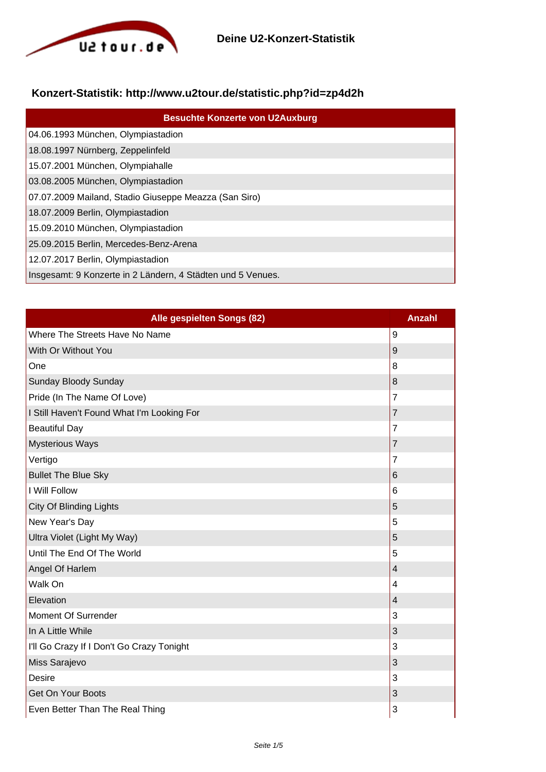

## **Konzert-Statistik: http://www.u2tour.de/statistic.php?id=zp4d2h**

| <b>Besuchte Konzerte von U2Auxburg</b>                      |
|-------------------------------------------------------------|
| 04.06.1993 München, Olympiastadion                          |
| 18.08.1997 Nürnberg, Zeppelinfeld                           |
| 15.07.2001 München, Olympiahalle                            |
| 03.08.2005 München, Olympiastadion                          |
| 07.07.2009 Mailand, Stadio Giuseppe Meazza (San Siro)       |
| 18.07.2009 Berlin, Olympiastadion                           |
| 15.09.2010 München, Olympiastadion                          |
| 25.09.2015 Berlin, Mercedes-Benz-Arena                      |
| 12.07.2017 Berlin, Olympiastadion                           |
| Insgesamt: 9 Konzerte in 2 Ländern, 4 Städten und 5 Venues. |

| Alle gespielten Songs (82)                 | <b>Anzahl</b>  |
|--------------------------------------------|----------------|
| Where The Streets Have No Name             | 9              |
| With Or Without You                        | 9              |
| One                                        | 8              |
| Sunday Bloody Sunday                       | 8              |
| Pride (In The Name Of Love)                | $\overline{7}$ |
| I Still Haven't Found What I'm Looking For | 7              |
| <b>Beautiful Day</b>                       | $\overline{7}$ |
| <b>Mysterious Ways</b>                     | $\overline{7}$ |
| Vertigo                                    | 7              |
| <b>Bullet The Blue Sky</b>                 | 6              |
| I Will Follow                              | 6              |
| <b>City Of Blinding Lights</b>             | 5              |
| New Year's Day                             | 5              |
| Ultra Violet (Light My Way)                | 5              |
| Until The End Of The World                 | 5              |
| Angel Of Harlem                            | $\overline{4}$ |
| Walk On                                    | 4              |
| Elevation                                  | 4              |
| Moment Of Surrender                        | 3              |
| In A Little While                          | 3              |
| I'll Go Crazy If I Don't Go Crazy Tonight  | 3              |
| Miss Sarajevo                              | 3              |
| <b>Desire</b>                              | 3              |
| <b>Get On Your Boots</b>                   | 3              |
| Even Better Than The Real Thing            | 3              |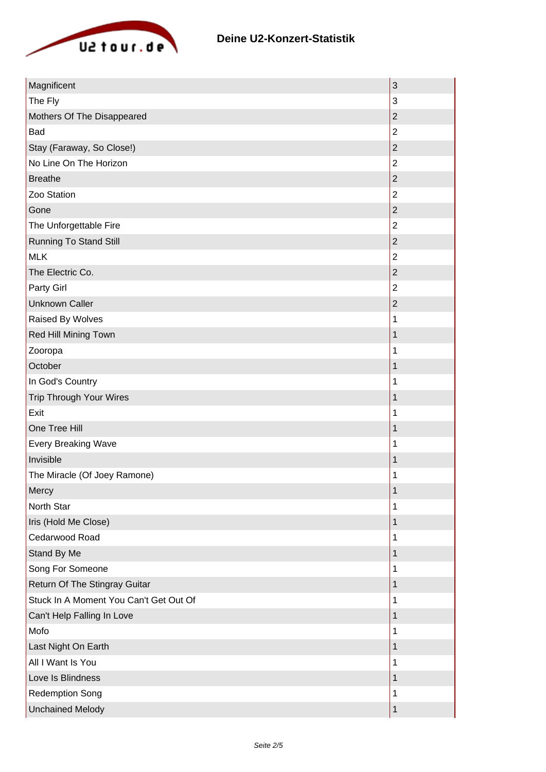

| Magnificent                            | 3              |
|----------------------------------------|----------------|
| The Fly                                | 3              |
| Mothers Of The Disappeared             | $\overline{c}$ |
| Bad                                    | $\overline{2}$ |
| Stay (Faraway, So Close!)              | $\overline{2}$ |
| No Line On The Horizon                 | $\overline{2}$ |
| <b>Breathe</b>                         | $\overline{2}$ |
| Zoo Station                            | $\overline{2}$ |
| Gone                                   | $\mathbf 2$    |
| The Unforgettable Fire                 | $\overline{2}$ |
| <b>Running To Stand Still</b>          | $\overline{2}$ |
| <b>MLK</b>                             | $\overline{2}$ |
| The Electric Co.                       | $\overline{2}$ |
| Party Girl                             | $\overline{2}$ |
| <b>Unknown Caller</b>                  | $\overline{c}$ |
| Raised By Wolves                       | 1              |
| Red Hill Mining Town                   | 1              |
| Zooropa                                | 1              |
| October                                | 1              |
| In God's Country                       | 1              |
| Trip Through Your Wires                | 1              |
| Exit                                   | 1              |
| One Tree Hill                          | 1              |
| <b>Every Breaking Wave</b>             | 1              |
| Invisible                              | 1              |
| The Miracle (Of Joey Ramone)           | 1              |
| Mercy                                  | 1              |
| North Star                             | 1              |
| Iris (Hold Me Close)                   | 1              |
| Cedarwood Road                         | 1              |
| Stand By Me                            | 1              |
| Song For Someone                       | 1              |
| Return Of The Stingray Guitar          | 1              |
| Stuck In A Moment You Can't Get Out Of | 1              |
| Can't Help Falling In Love             | 1              |
| Mofo                                   | 1              |
| Last Night On Earth                    | 1              |
| All I Want Is You                      | 1              |
| Love Is Blindness                      | 1              |
| <b>Redemption Song</b>                 | 1              |
| <b>Unchained Melody</b>                | 1              |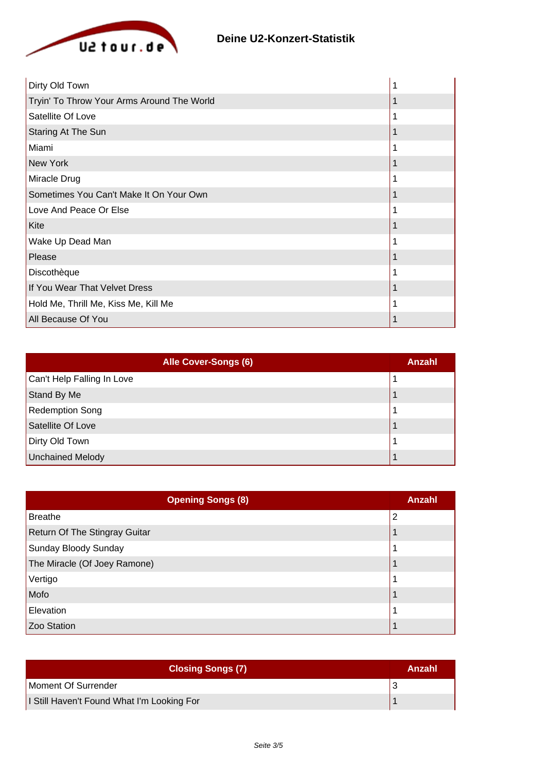

| Dirty Old Town                             |  |
|--------------------------------------------|--|
| Tryin' To Throw Your Arms Around The World |  |
| Satellite Of Love                          |  |
| Staring At The Sun                         |  |
| Miami                                      |  |
| New York                                   |  |
| Miracle Drug                               |  |
| Sometimes You Can't Make It On Your Own    |  |
| Love And Peace Or Else                     |  |
| Kite                                       |  |
| Wake Up Dead Man                           |  |
| Please                                     |  |
| Discothèque                                |  |
| If You Wear That Velvet Dress              |  |
| Hold Me, Thrill Me, Kiss Me, Kill Me       |  |
| All Because Of You                         |  |

| Alle Cover-Songs (6)       | Anzahl |
|----------------------------|--------|
| Can't Help Falling In Love |        |
| Stand By Me                |        |
| <b>Redemption Song</b>     |        |
| Satellite Of Love          |        |
| Dirty Old Town             |        |
| Unchained Melody           |        |

| <b>Opening Songs (8)</b>      | Anzahl |
|-------------------------------|--------|
| <b>Breathe</b>                | 2      |
| Return Of The Stingray Guitar |        |
| Sunday Bloody Sunday          |        |
| The Miracle (Of Joey Ramone)  |        |
| Vertigo                       |        |
| Mofo                          |        |
| Elevation                     |        |
| Zoo Station                   |        |

| <b>Closing Songs (7)</b>                   | Anzahl |
|--------------------------------------------|--------|
| Moment Of Surrender                        |        |
| I Still Haven't Found What I'm Looking For |        |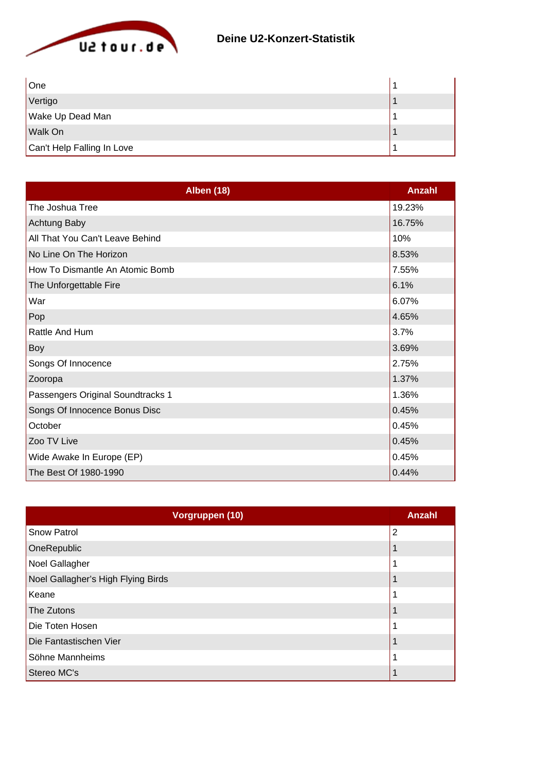

| One                        |  |
|----------------------------|--|
| Vertigo                    |  |
| Wake Up Dead Man           |  |
| Walk On                    |  |
| Can't Help Falling In Love |  |

| <b>Alben (18)</b>                 | Anzahl |
|-----------------------------------|--------|
| The Joshua Tree                   | 19.23% |
| Achtung Baby                      | 16.75% |
| All That You Can't Leave Behind   | 10%    |
| No Line On The Horizon            | 8.53%  |
| How To Dismantle An Atomic Bomb   | 7.55%  |
| The Unforgettable Fire            | 6.1%   |
| War                               | 6.07%  |
| Pop                               | 4.65%  |
| Rattle And Hum                    | 3.7%   |
| Boy                               | 3.69%  |
| Songs Of Innocence                | 2.75%  |
| Zooropa                           | 1.37%  |
| Passengers Original Soundtracks 1 | 1.36%  |
| Songs Of Innocence Bonus Disc     | 0.45%  |
| October                           | 0.45%  |
| Zoo TV Live                       | 0.45%  |
| Wide Awake In Europe (EP)         | 0.45%  |
| The Best Of 1980-1990             | 0.44%  |

| Vorgruppen (10)                    | <b>Anzahl</b>  |
|------------------------------------|----------------|
| <b>Snow Patrol</b>                 | $\overline{2}$ |
| OneRepublic                        |                |
| Noel Gallagher                     |                |
| Noel Gallagher's High Flying Birds |                |
| Keane                              |                |
| The Zutons                         |                |
| Die Toten Hosen                    |                |
| Die Fantastischen Vier             |                |
| Söhne Mannheims                    |                |
| Stereo MC's                        |                |